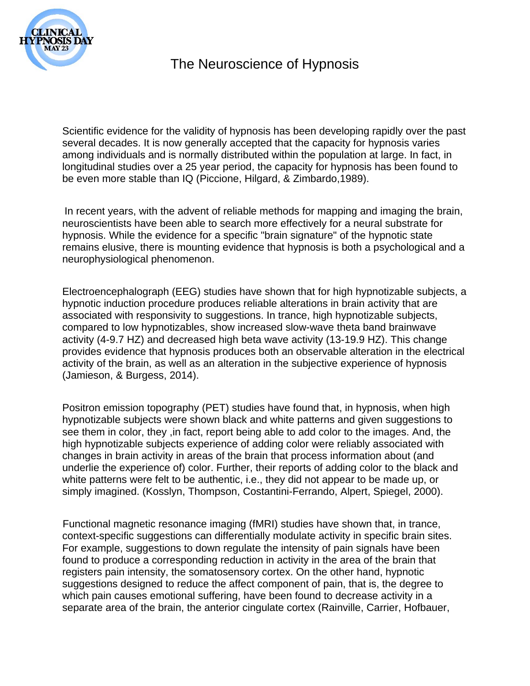

Scientific evidence for the validity of hypnosis has been developing rapidly over the past several decades. It is now generally accepted that the capacity for hypnosis varies among individuals and is normally distributed within the population at large. In fact, in longitudinal studies over a 25 year period, the capacity for hypnosis has been found to be even more stable than IQ (Piccione, Hilgard, & Zimbardo,1989).

In recent years, with the advent of reliable methods for mapping and imaging the brain, neuroscientists have been able to search more effectively for a neural substrate for hypnosis. While the evidence for a specific "brain signature" of the hypnotic state remains elusive, there is mounting evidence that hypnosis is both a psychological and a neurophysiological phenomenon.

Electroencephalograph (EEG) studies have shown that for high hypnotizable subjects, a hypnotic induction procedure produces reliable alterations in brain activity that are associated with responsivity to suggestions. In trance, high hypnotizable subjects, compared to low hypnotizables, show increased slow-wave theta band brainwave activity (4-9.7 HZ) and decreased high beta wave activity (13-19.9 HZ). This change provides evidence that hypnosis produces both an observable alteration in the electrical activity of the brain, as well as an alteration in the subjective experience of hypnosis (Jamieson, & Burgess, 2014).

Positron emission topography (PET) studies have found that, in hypnosis, when high hypnotizable subjects were shown black and white patterns and given suggestions to see them in color, they ,in fact, report being able to add color to the images. And, the high hypnotizable subjects experience of adding color were reliably associated with changes in brain activity in areas of the brain that process information about (and underlie the experience of) color. Further, their reports of adding color to the black and white patterns were felt to be authentic, i.e., they did not appear to be made up, or simply imagined. (Kosslyn, Thompson, Costantini-Ferrando, Alpert, Spiegel, 2000).

Functional magnetic resonance imaging (fMRI) studies have shown that, in trance, context-specific suggestions can differentially modulate activity in specific brain sites. For example, suggestions to down regulate the intensity of pain signals have been found to produce a corresponding reduction in activity in the area of the brain that registers pain intensity, the somatosensory cortex. On the other hand, hypnotic suggestions designed to reduce the affect component of pain, that is, the degree to which pain causes emotional suffering, have been found to decrease activity in a separate area of the brain, the anterior cingulate cortex (Rainville, Carrier, Hofbauer,